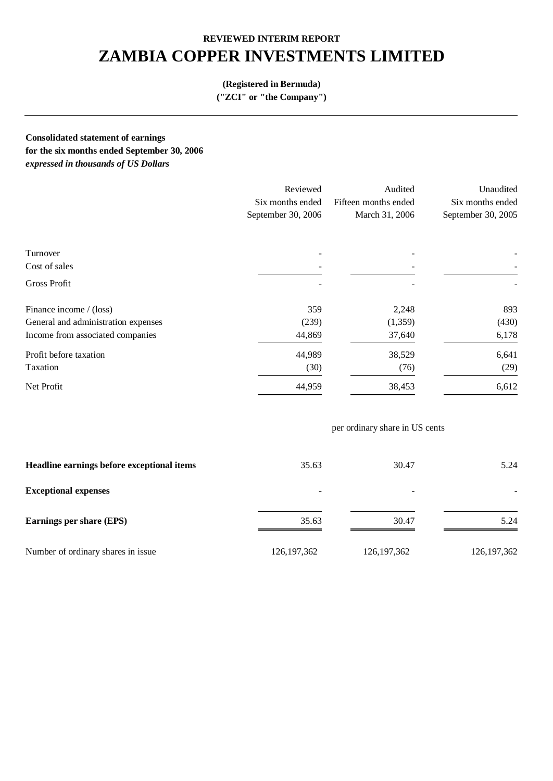# **ZAMBIA COPPER INVESTMENTS LIMITED**

## **(Registered in Bermuda)**

**("ZCI" or "the Company")** 

**Consolidated statement of earnings for the six months ended September 30, 2006**  *expressed in thousands of US Dollars* 

|                                     | Reviewed           | Audited              | Unaudited          |
|-------------------------------------|--------------------|----------------------|--------------------|
|                                     | Six months ended   | Fifteen months ended | Six months ended   |
|                                     | September 30, 2006 | March 31, 2006       | September 30, 2005 |
| Turnover                            |                    |                      |                    |
| Cost of sales                       |                    |                      |                    |
| Gross Profit                        |                    |                      |                    |
| Finance income / (loss)             | 359                | 2,248                | 893                |
| General and administration expenses | (239)              | (1,359)              | (430)              |
| Income from associated companies    | 44,869             | 37,640               | 6,178              |
| Profit before taxation              | 44,989             | 38,529               | 6,641              |
| Taxation                            | (30)               | (76)                 | (29)               |
| Net Profit                          | 44,959             | 38,453               | 6,612              |

## per ordinary share in US cents

| Headline earnings before exceptional items | 35.63                    | 30.47                    | 5.24                     |
|--------------------------------------------|--------------------------|--------------------------|--------------------------|
| <b>Exceptional expenses</b>                | $\overline{\phantom{a}}$ | $\overline{\phantom{0}}$ | $\overline{\phantom{0}}$ |
| Earnings per share (EPS)                   | 35.63                    | 30.47                    | 5.24                     |
| Number of ordinary shares in issue         | 126, 197, 362            | 126, 197, 362            | 126, 197, 362            |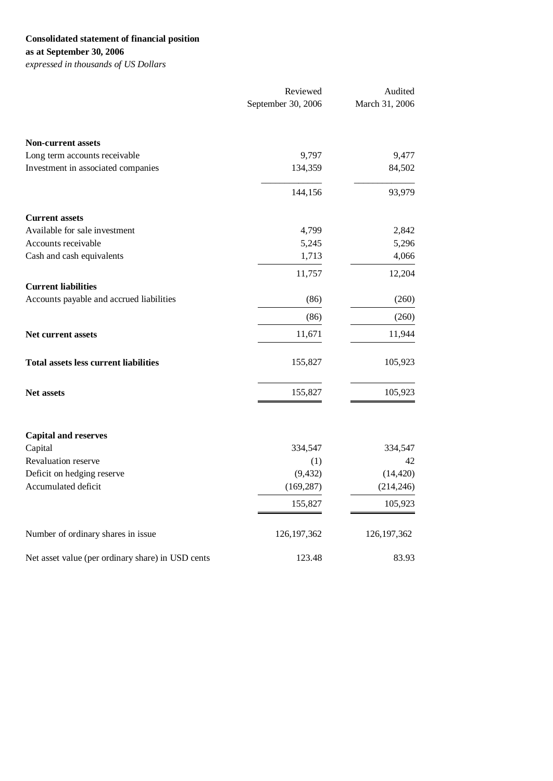## **Consolidated statement of financial position**

**as at September 30, 2006** 

*expressed in thousands of US Dollars* 

|                                                   | Reviewed           | Audited        |  |
|---------------------------------------------------|--------------------|----------------|--|
|                                                   | September 30, 2006 | March 31, 2006 |  |
| <b>Non-current assets</b>                         |                    |                |  |
| Long term accounts receivable                     | 9,797              | 9,477          |  |
| Investment in associated companies                | 134,359            | 84,502         |  |
|                                                   | 144,156            | 93,979         |  |
| <b>Current assets</b>                             |                    |                |  |
| Available for sale investment                     | 4,799              | 2,842          |  |
| Accounts receivable                               | 5,245              | 5,296          |  |
| Cash and cash equivalents                         | 1,713              | 4,066          |  |
|                                                   | 11,757             | 12,204         |  |
| <b>Current liabilities</b>                        |                    |                |  |
| Accounts payable and accrued liabilities          | (86)               | (260)          |  |
|                                                   | (86)               | (260)          |  |
| <b>Net current assets</b>                         | 11,671             | 11,944         |  |
| <b>Total assets less current liabilities</b>      | 155,827            | 105,923        |  |
| <b>Net assets</b>                                 | 155,827            | 105,923        |  |
|                                                   |                    |                |  |
| <b>Capital and reserves</b>                       |                    |                |  |
| Capital<br>Revaluation reserve                    | 334,547<br>(1)     | 334,547<br>42  |  |
| Deficit on hedging reserve                        | (9, 432)           | (14, 420)      |  |
| Accumulated deficit                               | (169, 287)         | (214, 246)     |  |
|                                                   | 155,827            | 105,923        |  |
|                                                   |                    |                |  |
| Number of ordinary shares in issue                | 126, 197, 362      | 126, 197, 362  |  |
| Net asset value (per ordinary share) in USD cents | 123.48             | 83.93          |  |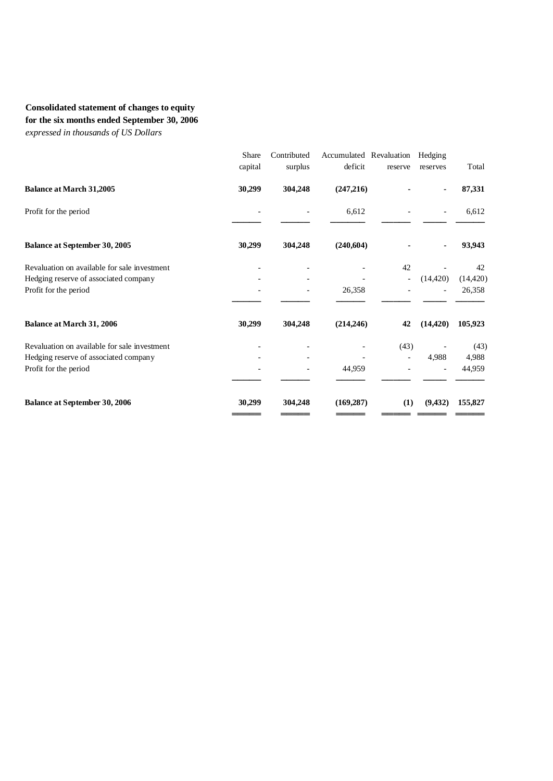## **Consolidated statement of changes to equity for the six months ended September 30, 2006**

*expressed in thousands of US Dollars* 

|                                              | Share<br>capital | Contributed<br>surplus | Accumulated Revaluation<br>deficit | reserve | Hedging<br>reserves | Total     |
|----------------------------------------------|------------------|------------------------|------------------------------------|---------|---------------------|-----------|
| <b>Balance at March 31,2005</b>              | 30,299           | 304,248                | (247,216)                          |         |                     | 87,331    |
| Profit for the period                        |                  |                        | 6,612                              |         |                     | 6,612     |
| <b>Balance at September 30, 2005</b>         | 30,299           | 304,248                | (240, 604)                         |         |                     | 93,943    |
| Revaluation on available for sale investment |                  |                        |                                    | 42      |                     | 42        |
| Hedging reserve of associated company        |                  |                        |                                    |         | (14, 420)           | (14, 420) |
| Profit for the period                        |                  |                        | 26,358                             |         |                     | 26,358    |
| <b>Balance at March 31, 2006</b>             | 30,299           | 304,248                | (214, 246)                         | 42      | (14, 420)           | 105,923   |
| Revaluation on available for sale investment |                  |                        |                                    | (43)    |                     | (43)      |
| Hedging reserve of associated company        |                  |                        |                                    |         | 4,988               | 4,988     |
| Profit for the period                        |                  |                        | 44,959                             |         |                     | 44,959    |
| <b>Balance at September 30, 2006</b>         | 30,299           | 304,248                | (169, 287)                         | (1)     | (9, 432)            | 155,827   |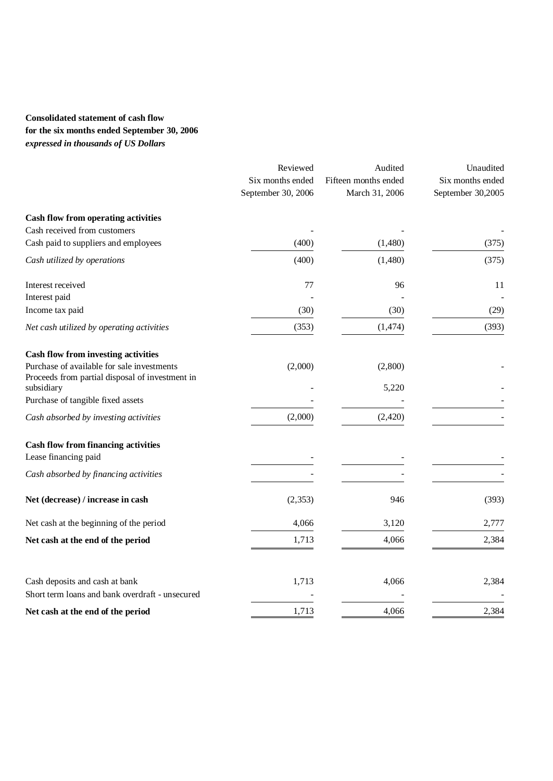## **Consolidated statement of cash flow for the six months ended September 30, 2006**  *expressed in thousands of US Dollars*

|                                                               | Reviewed           | Audited              | Unaudited         |  |
|---------------------------------------------------------------|--------------------|----------------------|-------------------|--|
|                                                               | Six months ended   | Fifteen months ended | Six months ended  |  |
|                                                               | September 30, 2006 | March 31, 2006       | September 30,2005 |  |
| Cash flow from operating activities                           |                    |                      |                   |  |
| Cash received from customers                                  |                    |                      |                   |  |
| Cash paid to suppliers and employees                          | (400)              | (1,480)              | (375)             |  |
| Cash utilized by operations                                   | (400)              | (1,480)              | (375)             |  |
| Interest received                                             | 77                 | 96                   | 11                |  |
| Interest paid                                                 |                    |                      |                   |  |
| Income tax paid                                               | (30)               | (30)                 | (29)              |  |
| Net cash utilized by operating activities                     | (353)              | (1, 474)             | (393)             |  |
| <b>Cash flow from investing activities</b>                    |                    |                      |                   |  |
| Purchase of available for sale investments                    | (2,000)            | (2,800)              |                   |  |
| Proceeds from partial disposal of investment in<br>subsidiary |                    | 5,220                |                   |  |
| Purchase of tangible fixed assets                             |                    |                      |                   |  |
| Cash absorbed by investing activities                         | (2,000)            | (2, 420)             |                   |  |
| <b>Cash flow from financing activities</b>                    |                    |                      |                   |  |
| Lease financing paid                                          |                    |                      |                   |  |
| Cash absorbed by financing activities                         |                    |                      |                   |  |
| Net (decrease) / increase in cash                             | (2, 353)           | 946                  | (393)             |  |
| Net cash at the beginning of the period                       | 4,066              | 3,120                | 2,777             |  |
| Net cash at the end of the period                             | 1,713              | 4,066                | 2,384             |  |
|                                                               |                    |                      |                   |  |
| Cash deposits and cash at bank                                | 1,713              | 4,066                | 2,384             |  |
| Short term loans and bank overdraft - unsecured               |                    |                      |                   |  |
| Net cash at the end of the period                             | 1,713              | 4,066                | 2,384             |  |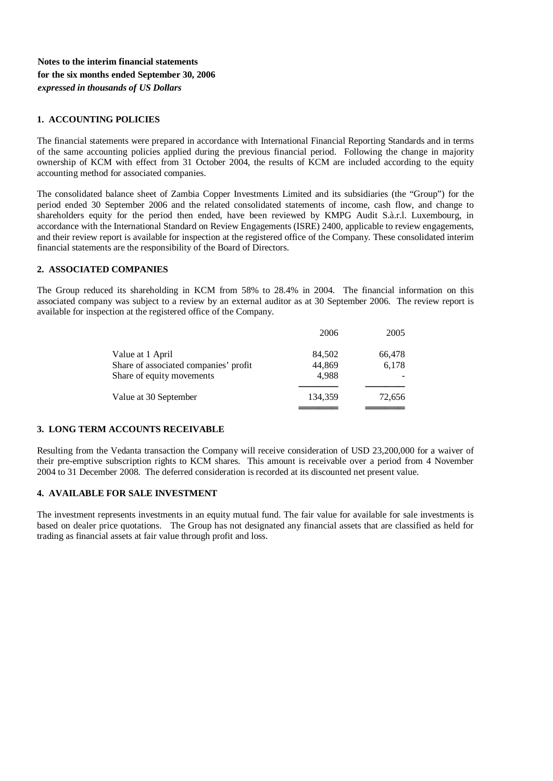### **Notes to the interim financial statements for the six months ended September 30, 2006**  *expressed in thousands of US Dollars*

#### **1. ACCOUNTING POLICIES**

The financial statements were prepared in accordance with International Financial Reporting Standards and in terms of the same accounting policies applied during the previous financial period. Following the change in majority ownership of KCM with effect from 31 October 2004, the results of KCM are included according to the equity accounting method for associated companies.

The consolidated balance sheet of Zambia Copper Investments Limited and its subsidiaries (the "Group") for the period ended 30 September 2006 and the related consolidated statements of income, cash flow, and change to shareholders equity for the period then ended, have been reviewed by KMPG Audit S.à.r.l. Luxembourg, in accordance with the International Standard on Review Engagements (ISRE) 2400, applicable to review engagements, and their review report is available for inspection at the registered office of the Company. These consolidated interim financial statements are the responsibility of the Board of Directors.

#### **2. ASSOCIATED COMPANIES**

The Group reduced its shareholding in KCM from 58% to 28.4% in 2004. The financial information on this associated company was subject to a review by an external auditor as at 30 September 2006. The review report is available for inspection at the registered office of the Company.

|                                       | 2006    | 2005   |
|---------------------------------------|---------|--------|
| Value at 1 April                      | 84,502  | 66,478 |
| Share of associated companies' profit | 44,869  | 6,178  |
| Share of equity movements             | 4.988   |        |
| Value at 30 September                 | 134,359 | 72,656 |
|                                       |         |        |

#### **3. LONG TERM ACCOUNTS RECEIVABLE**

Resulting from the Vedanta transaction the Company will receive consideration of USD 23,200,000 for a waiver of their pre-emptive subscription rights to KCM shares. This amount is receivable over a period from 4 November 2004 to 31 December 2008. The deferred consideration is recorded at its discounted net present value.

#### **4. AVAILABLE FOR SALE INVESTMENT**

The investment represents investments in an equity mutual fund. The fair value for available for sale investments is based on dealer price quotations. The Group has not designated any financial assets that are classified as held for trading as financial assets at fair value through profit and loss.